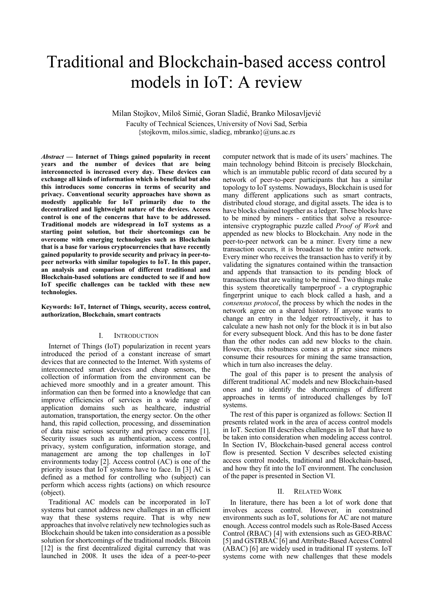# Traditional and Blockchain-based access control models in IoT: A review

Milan Stojkov, Miloš Simić, Goran Sladić, Branko Milosavljević Faculty of Technical Sciences, University of Novi Sad, Serbia {stojkovm, milos.simic, sladicg, mbranko}@uns.ac.rs

*Abstract* **— Internet of Things gained popularity in recent years and the number of devices that are being interconnected is increased every day. These devices can exchange all kinds of information which is beneficial but also this introduces some concerns in terms of security and privacy. Conventional security approaches have shown as modestly applicable for IoT primarily due to the decentralized and lightweight nature of the devices. Access control is one of the concerns that have to be addressed. Traditional models are widespread in IoT systems as a starting point solution, but their shortcomings can be overcome with emerging technologies such as Blockchain that is a base for various cryptocurrencies that have recently gained popularity to provide security and privacy in peer-topeer networks with similar topologies to IoT. In this paper, an analysis and comparison of different traditional and Blockchain-based solutions are conducted to see if and how IoT specific challenges can be tackled with these new technologies.**

## **Keywords: IoT, Internet of Things, security, access control, authorization, Blockchain, smart contracts**

## I. INTRODUCTION

Internet of Things (IoT) popularization in recent years introduced the period of a constant increase of smart devices that are connected to the Internet. With systems of interconnected smart devices and cheap sensors, the collection of information from the environment can be achieved more smoothly and in a greater amount. This information can then be formed into a knowledge that can improve efficiencies of services in a wide range of application domains such as healthcare, industrial automation, transportation, the energy sector. On the other hand, this rapid collection, processing, and dissemination of data raise serious security and privacy concerns [1]. Security issues such as authentication, access control, privacy, system configuration, information storage, and management are among the top challenges in IoT environments today [2]. Access control (AC) is one of the priority issues that IoT systems have to face. In [3] AC is defined as a method for controlling who (subject) can perform which access rights (actions) on which resource (object).

Traditional AC models can be incorporated in IoT systems but cannot address new challenges in an efficient way that these systems require. That is why new approaches that involve relatively new technologies such as Blockchain should be taken into consideration as a possible solution for shortcomings of the traditional models. Bitcoin [12] is the first decentralized digital currency that was launched in 2008. It uses the idea of a peer-to-peer computer network that is made of its users' machines. The main technology behind Bitcoin is precisely Blockchain, which is an immutable public record of data secured by a network of peer-to-peer participants that has a similar topology to IoT systems. Nowadays, Blockchain is used for many different applications such as smart contracts, distributed cloud storage, and digital assets. The idea is to have blocks chained together as a ledger. These blocks have to be mined by miners - entities that solve a resourceintensive cryptographic puzzle called *Proof of Work* and appended as new blocks to Blockchain. Any node in the peer-to-peer network can be a miner. Every time a new transaction occurs, it is broadcast to the entire network. Every miner who receives the transaction has to verify it by validating the signatures contained within the transaction and appends that transaction to its pending block of transactions that are waiting to be mined. Two things make this system theoretically tamperproof - a cryptographic fingerprint unique to each block called a hash, and a *consensus protocol*, the process by which the nodes in the network agree on a shared history. If anyone wants to change an entry in the ledger retroactively, it has to calculate a new hash not only for the block it is in but also for every subsequent block. And this has to be done faster than the other nodes can add new blocks to the chain. However, this robustness comes at a price since miners consume their resources for mining the same transaction, which in turn also increases the delay.

The goal of this paper is to present the analysis of different traditional AC models and new Blockchain-based ones and to identify the shortcomings of different approaches in terms of introduced challenges by IoT systems.

The rest of this paper is organized as follows: Section II presents related work in the area of access control models in IoT. Section III describes challenges in IoT that have to be taken into consideration when modeling access control. In Section IV, Blockchain-based general access control flow is presented. Section V describes selected existing access control models, traditional and Blockchain-based, and how they fit into the IoT environment. The conclusion of the paper is presented in Section VI.

### II. RELATED WORK

In literature, there has been a lot of work done that involves access control. However, in constrained environments such as IoT, solutions for AC are not mature enough. Access control models such as Role-Based Access Control (RBAC) [4] with extensions such as GEO-RBAC [5] and GSTRBAC [6] and Attribute-Based Access Control (ABAC) [6] are widely used in traditional IT systems. IoT systems come with new challenges that these models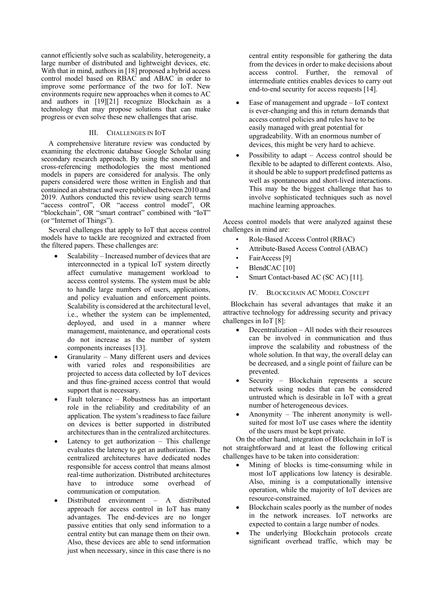cannot efficiently solve such as scalability, heterogeneity, a large number of distributed and lightweight devices, etc. With that in mind, authors in [18] proposed a hybrid access control model based on RBAC and ABAC in order to improve some performance of the two for IoT. New environments require new approaches when it comes to AC and authors in [19][21] recognize Blockchain as a technology that may propose solutions that can make progress or even solve these new challenges that arise.

## III. CHALLENGES IN IOT

A comprehensive literature review was conducted by examining the electronic database Google Scholar using secondary research approach. By using the snowball and cross-referencing methodologies the most mentioned models in papers are considered for analysis. The only papers considered were those written in English and that contained an abstract and were published between 2010 and 2019. Authors conducted this review using search terms "access control", OR "access control model", OR "blockchain", OR "smart contract" combined with "IoT" (or "Internet of Things").

Several challenges that apply to IoT that access control models have to tackle are recognized and extracted from the filtered papers. These challenges are:

- Scalability Increased number of devices that are interconnected in a typical IoT system directly affect cumulative management workload to access control systems. The system must be able to handle large numbers of users, applications, and policy evaluation and enforcement points. Scalability is considered at the architectural level, i.e., whether the system can be implemented, deployed, and used in a manner where management, maintenance, and operational costs do not increase as the number of system components increases [13].
- Granularity Many different users and devices with varied roles and responsibilities are projected to access data collected by IoT devices and thus fine-grained access control that would support that is necessary.
- Fault tolerance Robustness has an important role in the reliability and creditability of an application. The system's readiness to face failure on devices is better supported in distributed architectures than in the centralized architectures.
- Latency to get authorization  $-$  This challenge evaluates the latency to get an authorization. The centralized architectures have dedicated nodes responsible for access control that means almost real-time authorization. Distributed architectures have to introduce some overhead of communication or computation.
- Distributed environment A distributed approach for access control in IoT has many advantages. The end-devices are no longer passive entities that only send information to a central entity but can manage them on their own. Also, these devices are able to send information just when necessary, since in this case there is no

central entity responsible for gathering the data from the devices in order to make decisions about access control. Further, the removal of intermediate entities enables devices to carry out end-to-end security for access requests [14].

- Ease of management and upgrade *–* IoT context is ever-changing and this in return demands that access control policies and rules have to be easily managed with great potential for upgradeability. With an enormous number of devices, this might be very hard to achieve.
- Possibility to adapt  $-$  Access control should be flexible to be adapted to different contexts. Also, it should be able to support predefined patterns as well as spontaneous and short-lived interactions. This may be the biggest challenge that has to involve sophisticated techniques such as novel machine learning approaches.

Access control models that were analyzed against these challenges in mind are:

- Role-Based Access Control (RBAC)
- Attribute-Based Access Control (ABAC)
- FairAccess<sup>[9]</sup>
- BlendCAC [10]
- Smart Contact-based AC (SC AC) [11].

## IV. BLOCKCHAIN AC MODEL CONCEPT

Blockchain has several advantages that make it an attractive technology for addressing security and privacy challenges in IoT [8]:

- Decentralization All nodes with their resources can be involved in communication and thus improve the scalability and robustness of the whole solution. In that way, the overall delay can be decreased, and a single point of failure can be prevented.
- Security Blockchain represents a secure network using nodes that can be considered untrusted which is desirable in IoT with a great number of heterogeneous devices.
- Anonymity The inherent anonymity is wellsuited for most IoT use cases where the identity of the users must be kept private.

On the other hand, integration of Blockchain in IoT is not straightforward and at least the following critical challenges have to be taken into consideration:

- Mining of blocks is time-consuming while in most IoT applications low latency is desirable. Also, mining is a computationally intensive operation, while the majority of IoT devices are resource-constrained.
- Blockchain scales poorly as the number of nodes in the network increases. IoT networks are expected to contain a large number of nodes.
- The underlying Blockchain protocols create significant overhead traffic, which may be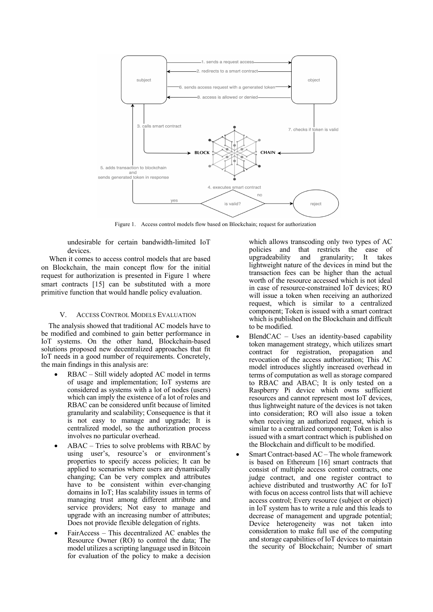

Figure 1. Access control models flow based on Blockchain; request for authorization

undesirable for certain bandwidth-limited IoT devices.

When it comes to access control models that are based on Blockchain, the main concept flow for the initial request for authorization is presented in Figure 1 where smart contracts [15] can be substituted with a more primitive function that would handle policy evaluation.

## V. ACCESS CONTROL MODELS EVALUATION

The analysis showed that traditional AC models have to be modified and combined to gain better performance in IoT systems. On the other hand, Blockchain-based solutions proposed new decentralized approaches that fit IoT needs in a good number of requirements. Concretely, the main findings in this analysis are:

- RBAC Still widely adopted AC model in terms of usage and implementation; IoT systems are considered as systems with a lot of nodes (users) which can imply the existence of a lot of roles and RBAC can be considered unfit because of limited granularity and scalability; Consequence is that it is not easy to manage and upgrade; It is centralized model, so the authorization process involves no particular overhead.
- ABAC Tries to solve problems with RBAC by using user's, resource's or environment's properties to specify access policies; It can be applied to scenarios where users are dynamically changing; Can be very complex and attributes have to be consistent within ever-changing domains in IoT; Has scalability issues in terms of managing trust among different attribute and service providers; Not easy to manage and upgrade with an increasing number of attributes; Does not provide flexible delegation of rights.
- FairAccess This decentralized AC enables the Resource Owner (RO) to control the data; The model utilizes a scripting language used in Bitcoin for evaluation of the policy to make a decision

which allows transcoding only two types of AC policies and that restricts the ease of upgradeability and granularity; It takes lightweight nature of the devices in mind but the transaction fees can be higher than the actual worth of the resource accessed which is not ideal in case of resource-constrained IoT devices; RO will issue a token when receiving an authorized request, which is similar to a centralized component; Token is issued with a smart contract which is published on the Blockchain and difficult to be modified.

- BlendCAC Uses an identity-based capability token management strategy, which utilizes smart contract for registration, propagation and revocation of the access authorization; This AC model introduces slightly increased overhead in terms of computation as well as storage compared to RBAC and ABAC; It is only tested on a Raspberry Pi device which owns sufficient resources and cannot represent most IoT devices, thus lightweight nature of the devices is not taken into consideration; RO will also issue a token when receiving an authorized request, which is similar to a centralized component; Token is also issued with a smart contract which is published on the Blockchain and difficult to be modified.
- Smart Contract-based AC The whole framework is based on Ethereum [16] smart contracts that consist of multiple access control contracts, one judge contract, and one register contract to achieve distributed and trustworthy AC for IoT with focus on access control lists that will achieve access control; Every resource (subject or object) in IoT system has to write a rule and this leads to decrease of management and upgrade potential; Device heterogeneity was not taken into consideration to make full use of the computing and storage capabilities of IoT devices to maintain the security of Blockchain; Number of smart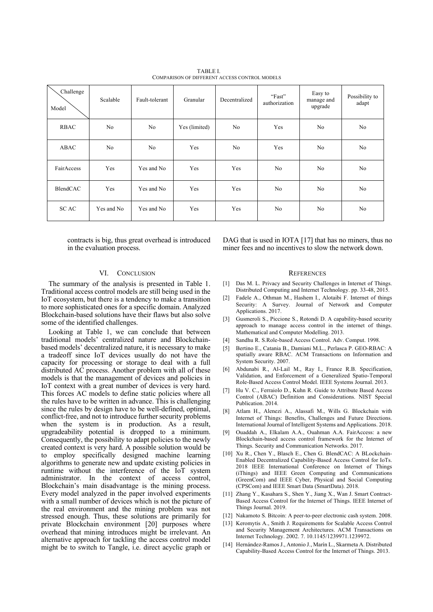| Challenge<br>Model | Scalable   | Fault-tolerant | Granular      | Decentralized | "Fast"<br>authorization | Easy to<br>manage and<br>upgrade | Possibility to<br>adapt |
|--------------------|------------|----------------|---------------|---------------|-------------------------|----------------------------------|-------------------------|
| <b>RBAC</b>        | No.        | No             | Yes (limited) | No.           | Yes                     | N <sub>o</sub>                   | N <sub>o</sub>          |
| ABAC               | No         | No             | Yes           | No            | Yes                     | No                               | N <sub>o</sub>          |
| FairAccess         | Yes        | Yes and No     | Yes           | Yes           | No                      | N <sub>o</sub>                   | N <sub>o</sub>          |
| BlendCAC           | Yes        | Yes and No     | Yes           | Yes           | No                      | N <sub>o</sub>                   | No                      |
| <b>SCAC</b>        | Yes and No | Yes and No     | Yes           | Yes           | No                      | N <sub>o</sub>                   | N <sub>o</sub>          |

TABLE I. COMPARISON OF DIFFERENT ACCESS CONTROL MODELS

contracts is big, thus great overhead is introduced in the evaluation process.

DAG that is used in IOTA [17] that has no miners, thus no miner fees and no incentives to slow the network down.

### VI. CONCLUSION

The summary of the analysis is presented in Table 1. Traditional access control models are still being used in the IoT ecosystem, but there is a tendency to make a transition to more sophisticated ones for a specific domain. Analyzed Blockchain-based solutions have their flaws but also solve some of the identified challenges.

Looking at Table 1, we can conclude that between traditional models' centralized nature and Blockchainbased models' decentralized nature, it is necessary to make a tradeoff since IoT devices usually do not have the capacity for processing or storage to deal with a full distributed AC process. Another problem with all of these models is that the management of devices and policies in IoT context with a great number of devices is very hard. This forces AC models to define static policies where all the rules have to be written in advance. This is challenging since the rules by design have to be well-defined, optimal, conflict-free, and not to introduce further security problems when the system is in production. As a result, upgradeability potential is dropped to a minimum. Consequently, the possibility to adapt policies to the newly created context is very hard. A possible solution would be to employ specifically designed machine learning algorithms to generate new and update existing policies in runtime without the interference of the IoT system administrator. In the context of access control, Blockchain's main disadvantage is the mining process. Every model analyzed in the paper involved experiments with a small number of devices which is not the picture of the real environment and the mining problem was not stressed enough. Thus, these solutions are primarily for private Blockchain environment [20] purposes where overhead that mining introduces might be irrelevant. An alternative approach for tackling the access control model might be to switch to Tangle, i.e. direct acyclic graph or

#### **REFERENCES**

- [1] Das M. L. Privacy and Security Challenges in Internet of Things. Distributed Computing and Internet Technology. pp. 33-48, 2015.
- [2] Fadele A., Othman M., Hashem I., Alotaibi F. Internet of things Security: A Survey. Journal of Network and Computer Applications. 2017.
- [3] Gusmeroli S., Piccione S., Rotondi D. A capability-based security approach to manage access control in the internet of things. Mathematical and Computer Modelling. 2013.
- [4] Sandhu R. S.Role-based Access Control. Adv. Comput. 1998.
- [5] Bertino E., Catania B., Damiani M.L., Perlasca P. GEO-RBAC: A spatially aware RBAC. ACM Transactions on Information and System Security. 2007.
- [6] Abdunabi R., Al-Lail M., Ray I., France R.B. Specification, Validation, and Enforcement of a Generalized Spatio-Temporal Role-Based Access Control Model. IEEE Systems Journal. 2013.
- [7] Hu V. C., Ferraiolo D., Kuhn R. Guide to Attribute Based Access Control (ABAC) Definition and Considerations. NIST Special Publication. 2014.
- [8] Atlam H., Alenezi A., Alassafi M., Wills G. Blockchain with Internet of Things: Benefits, Challenges and Future Directions. International Journal of Intelligent Systems and Applications. 2018.
- [9] Ouaddah A., Elkalam A.A., Ouahman A.A. FairAccess: a new Blockchain‐based access control framework for the Internet of Things. Security and Communication Networks. 2017.
- [10] Xu R., Chen Y., Blasch E., Chen G. BlendCAC: A BLockchain-Enabled Decentralized Capability-Based Access Control for IoTs. 2018 IEEE International Conference on Internet of Things (iThings) and IEEE Green Computing and Communications (GreenCom) and IEEE Cyber, Physical and Social Computing (CPSCom) and IEEE Smart Data (SmartData). 2018.
- [11] Zhang Y., Kasahara S., Shen Y., Jiang X., Wan J. Smart Contract-Based Access Control for the Internet of Things. IEEE Internet of Things Journal. 2019.
- [12] Nakamoto S. Bitcoin: A peer-to-peer electronic cash system. 2008.
- [13] Keromytis A., Smith J. Requirements for Scalable Access Control and Security Management Architectures. ACM Transactions on Internet Technology. 2002. 7. 10.1145/1239971.1239972.
- [14] Hernández-Ramos J., Antonio J., Marín L., Skarmeta A. Distributed Capability-Based Access Control for the Internet of Things. 2013.